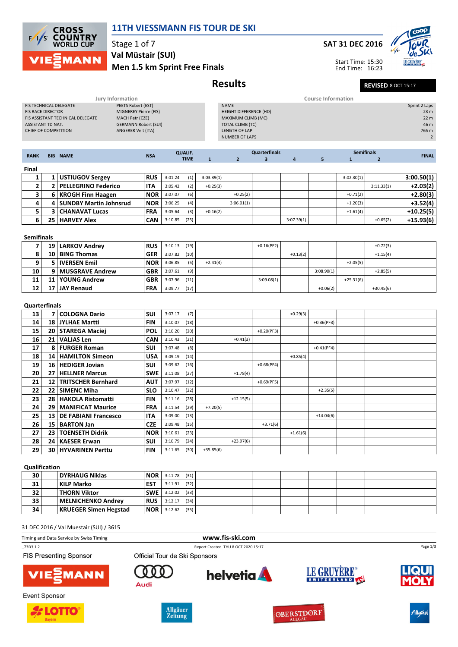

## 11TH VIESSMANN FIS TOUR DE SKI

Stage 1 of 7 Val Müstair (SUI)

## Men 1.5 km Sprint Free Finals

## Results Revised 8 OCT 15:17

|  | <b>SAT 31 DEC 2016</b> |
|--|------------------------|
|  |                        |

Start Time: 15:30 End Time: 16:23



|                                                            |                 | <b>Jury Information</b>                                                            |            |                                  |                               |              |                                               |                                                 |                | <b>Course Information</b> |                                   |                |                 |
|------------------------------------------------------------|-----------------|------------------------------------------------------------------------------------|------------|----------------------------------|-------------------------------|--------------|-----------------------------------------------|-------------------------------------------------|----------------|---------------------------|-----------------------------------|----------------|-----------------|
| FIS TECHNICAL DELEGATE                                     |                 | PEETS Robert (EST)                                                                 |            |                                  |                               |              | <b>NAME</b>                                   |                                                 |                |                           |                                   |                | Sprint 2 Laps   |
| <b>FIS RACE DIRECTOR</b>                                   |                 | MIGNEREY Pierre (FIS)                                                              |            |                                  |                               |              | <b>HEIGHT DIFFERENCE (HD)</b>                 |                                                 |                |                           |                                   |                | 23 <sub>m</sub> |
| ASSISTANT TD NAT.                                          |                 | FIS ASSISTANT TECHNICAL DELEGATE<br>MACH Petr (CZE)<br><b>GERMANN Robert (SUI)</b> |            |                                  |                               |              | MAXIMUM CLIMB (MC)<br><b>TOTAL CLIMB (TC)</b> |                                                 |                |                           |                                   |                | 22 m<br>46 m    |
| CHIEF OF COMPETITION                                       |                 | ANGERER Veit (ITA)                                                                 |            |                                  |                               |              | <b>LENGTH OF LAP</b>                          |                                                 |                |                           |                                   |                | 765 m           |
|                                                            |                 |                                                                                    |            |                                  |                               |              | <b>NUMBER OF LAPS</b>                         |                                                 |                |                           |                                   |                | $\overline{2}$  |
|                                                            |                 |                                                                                    |            |                                  |                               |              |                                               |                                                 |                |                           |                                   |                |                 |
| <b>RANK</b>                                                |                 | <b>BIB NAME</b>                                                                    | <b>NSA</b> |                                  | <b>QUALIF.</b><br><b>TIME</b> | $\mathbf{1}$ | $\overline{2}$                                | <b>Quarterfinals</b><br>$\overline{\mathbf{3}}$ | $\overline{4}$ | 5                         | <b>Semifinals</b><br>$\mathbf{1}$ | $\overline{2}$ | <b>FINAL</b>    |
| Final                                                      |                 |                                                                                    |            |                                  |                               |              |                                               |                                                 |                |                           |                                   |                |                 |
| 1                                                          | 1               | <b>USTIUGOV Sergey</b>                                                             | <b>RUS</b> | 3:01.24                          | (1)                           | 3:03.39(1)   |                                               |                                                 |                |                           | 3:02.30(1)                        |                | 3:00.50(1)      |
| $\mathbf 2$                                                | 2               | <b>PELLEGRINO Federico</b>                                                         | ITA        | 3:05.42                          | (2)                           | $+0.25(3)$   |                                               |                                                 |                |                           |                                   | 3:11.33(1)     | $+2.03(2)$      |
| 3                                                          | 6               | <b>KROGH Finn Haagen</b>                                                           | <b>NOR</b> | 3:07.07                          | (6)                           |              | $+0.25(2)$                                    |                                                 |                |                           | $+0.71(2)$                        |                | $+2.80(3)$      |
| 4                                                          | 4               | <b>SUNDBY Martin Johnsrud</b>                                                      | <b>NOR</b> | 3:06.25                          | (4)                           |              | 3:06.01(1)                                    |                                                 |                |                           | $+1.20(3)$                        |                | $+3.52(4)$      |
| 5                                                          | 3               | <b>CHANAVAT Lucas</b>                                                              | <b>FRA</b> | 3:05.64                          | (3)                           | $+0.16(2)$   |                                               |                                                 |                |                           | $+1.61(4)$                        |                | $+10.25(5)$     |
| 6                                                          | 25              | <b>HARVEY Alex</b>                                                                 | <b>CAN</b> | 3:10.85                          | (25)                          |              |                                               |                                                 | 3:07.39(1)     |                           |                                   | $+0.65(2)$     | $+15.93(6)$     |
|                                                            |                 |                                                                                    |            |                                  |                               |              |                                               |                                                 |                |                           |                                   |                |                 |
| <b>Semifinals</b>                                          |                 |                                                                                    |            |                                  |                               |              |                                               |                                                 |                |                           |                                   |                |                 |
| 7                                                          | 19              | <b>LARKOV Andrey</b>                                                               | <b>RUS</b> | 3:10.13                          | (19)                          |              |                                               | $+0.16(PF2)$                                    |                |                           |                                   | $+0.72(3)$     |                 |
| 8                                                          | 10              | <b>BING Thomas</b>                                                                 | <b>GER</b> | 3:07.82                          | (10)                          |              |                                               |                                                 | $+0.13(2)$     |                           |                                   | $+1.15(4)$     |                 |
| 9                                                          | 5               | <b>IVERSEN Emil</b>                                                                | <b>NOR</b> | 3:06.85                          | (5)                           | $+2.41(4)$   |                                               |                                                 |                |                           | $+2.05(5)$                        |                |                 |
| 10                                                         | 9               | <b>MUSGRAVE Andrew</b>                                                             | <b>GBR</b> | 3:07.61                          | (9)                           |              |                                               |                                                 |                | 3:08.90(1)                |                                   | $+2.85(5)$     |                 |
| 11                                                         | 11              | <b>YOUNG Andrew</b>                                                                | <b>GBR</b> | 3:07.96                          | (11)                          |              |                                               | 3:09.08(1)                                      |                |                           | $+25.31(6)$                       |                |                 |
| 12                                                         | 17              | <b>JAY Renaud</b>                                                                  | <b>FRA</b> | 3:09.77                          | (17)                          |              |                                               |                                                 |                | $+0.06(2)$                |                                   | $+30.45(6)$    |                 |
|                                                            |                 |                                                                                    |            |                                  |                               |              |                                               |                                                 |                |                           |                                   |                |                 |
| Quarterfinals                                              |                 |                                                                                    |            |                                  |                               |              |                                               |                                                 |                |                           |                                   |                |                 |
| 13                                                         | 7               | <b>COLOGNA Dario</b>                                                               | SUI        | 3:07.17                          | (7)                           |              |                                               |                                                 | $+0.29(3)$     |                           |                                   |                |                 |
| 14                                                         | 18              | JYLHAE Martti                                                                      | <b>FIN</b> | 3:10.07                          | (18)                          |              |                                               |                                                 |                | $+0.36(PF3)$              |                                   |                |                 |
| 15                                                         |                 | 20   STAREGA Maciei                                                                | <b>POL</b> | 3:10.20                          | (20)                          |              |                                               | $+0.20(PF3)$                                    |                |                           |                                   |                |                 |
| 16                                                         | 21              | <b>VALJAS Len</b>                                                                  | <b>CAN</b> | 3:10.43                          | (21)                          |              | $+0.41(3)$                                    |                                                 |                |                           |                                   |                |                 |
| 17                                                         | 8               | <b>FURGER Roman</b>                                                                | SUI        | 3:07.48                          | (8)                           |              |                                               |                                                 |                | $+0.41(PF4)$              |                                   |                |                 |
| 18                                                         | 14              | <b>HAMILTON Simeon</b>                                                             | <b>USA</b> | 3:09.19                          | (14)                          |              |                                               |                                                 | $+0.85(4)$     |                           |                                   |                |                 |
| 19                                                         | 16 <sup>1</sup> | <b>HEDIGER Jovian</b>                                                              | SUI        | 3:09.62                          | (16)                          |              |                                               | $+0.68(PF4)$                                    |                |                           |                                   |                |                 |
| 20                                                         | 27              | <b>HELLNER Marcus</b>                                                              | <b>SWE</b> | 3:11.08                          | (27)                          |              | $+1.78(4)$                                    |                                                 |                |                           |                                   |                |                 |
| 21                                                         | 12              | <b>TRITSCHER Bernhard</b>                                                          | <b>AUT</b> | 3:07.97                          | (12)                          |              |                                               | $+0.69(PF5)$                                    |                |                           |                                   |                |                 |
| 22                                                         | 22              | <b>SIMENC Miha</b>                                                                 | <b>SLO</b> | 3:10.47                          | (22)                          |              |                                               |                                                 |                | $+2.35(5)$                |                                   |                |                 |
| 23                                                         | 28              | <b>HAKOLA Ristomatti</b>                                                           | FIN        | 3:11.16                          | (28)                          |              | $+12.15(5)$                                   |                                                 |                |                           |                                   |                |                 |
| 24                                                         | 29              | <b>MANIFICAT Maurice</b>                                                           | <b>FRA</b> | 3:11.54                          | (29)                          | $+7.20(5)$   |                                               |                                                 |                |                           |                                   |                |                 |
| 25                                                         | 13              | <b>DE FABIANI Francesco</b>                                                        | ITA        | 3:09.00                          | (13)                          |              |                                               |                                                 |                | $+14.04(6)$               |                                   |                |                 |
| 26                                                         | 15              | <b>BARTON Jan</b>                                                                  | <b>CZE</b> | 3:09.48                          | (15)                          |              |                                               | $+3.71(6)$                                      |                |                           |                                   |                |                 |
| $27\,$                                                     |                 | 23 TOENSETH Didrik                                                                 | NOR        | 3:10.61                          | (23)                          |              |                                               |                                                 | $+1.61(6)$     |                           |                                   |                |                 |
| 28                                                         | 24              | <b>KAESER Erwan</b>                                                                | SUI        | 3:10.79                          | (24)                          |              | $+23.97(6)$                                   |                                                 |                |                           |                                   |                |                 |
| 29                                                         |                 | 30   HYVARINEN Perttu                                                              | FIN        | 3:11.65                          | (30)                          | $+35.85(6)$  |                                               |                                                 |                |                           |                                   |                |                 |
|                                                            |                 |                                                                                    |            |                                  |                               |              |                                               |                                                 |                |                           |                                   |                |                 |
| Qualification                                              |                 |                                                                                    |            |                                  |                               |              |                                               |                                                 |                |                           |                                   |                |                 |
| 30                                                         |                 | <b>DYRHAUG Niklas</b>                                                              | NOR        | $3:11.78$ (31)                   |                               |              |                                               |                                                 |                |                           |                                   |                |                 |
| 31                                                         |                 | <b>KILP Marko</b>                                                                  | <b>EST</b> | $3:11.91$ (32)<br>$3:12.02$ (33) |                               |              |                                               |                                                 |                |                           |                                   |                |                 |
| 32                                                         |                 | <b>THORN Viktor</b>                                                                | SWE        |                                  |                               |              |                                               |                                                 |                |                           |                                   |                |                 |
| 33<br>34                                                   |                 | <b>MELNICHENKO Andrey</b>                                                          | RUS        | 3:12.17                          | (34)                          |              |                                               |                                                 |                |                           |                                   |                |                 |
|                                                            |                 | <b>KRUEGER Simen Hegstad</b>                                                       | NOR        | 3:12.62                          | (35)                          |              |                                               |                                                 |                |                           |                                   |                |                 |
|                                                            |                 |                                                                                    |            |                                  |                               |              |                                               |                                                 |                |                           |                                   |                |                 |
|                                                            |                 | 31 DEC 2016 / Val Muestair (SUI) / 3615                                            |            |                                  |                               |              |                                               |                                                 |                |                           |                                   |                |                 |
| www.fis-ski.com<br>Timing and Data Service by Swiss Timing |                 |                                                                                    |            |                                  |                               |              |                                               |                                                 |                |                           |                                   |                |                 |

FIS Presenting Sponsor



\_73D3 1.2 Report Created THU 8 OCT 2020 15:17



Official Tour de Ski Sponsors











Page 1/3









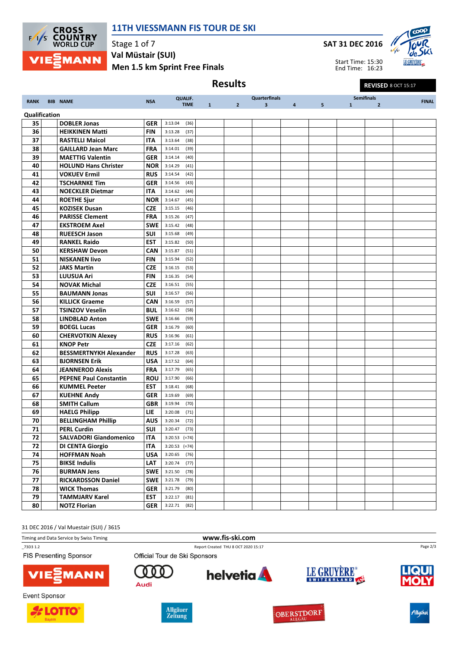

## 11TH VIESSMANN FIS TOUR DE SKI

SAT 31 DEC 2016



Start Time: 15:30 End Time: 16:23

Results Revised 8 OCT 15:17

RANK BIB NAME NEWSALE NSA QUALIF. TIME **Quarterfinals** 1 2 3 4 5 Semifinals 1 2 FINAL Qualification **35 DOBLER Jonas GER** 3:13.04 (36) **36 HEIKKINEN Matti** FIN 3:13.28 (37) **37 RASTELLI Maicol ITA** 3:13.64 (38) **38 GAILLARD Jean Marc FRA** 3:14.01 (39) **39 MAETTIG Valentin GER** 3:14.14 (40) 40 HOLUND Hans Christer NOR 3:14.29 (41) **41 VOKUEV Ermil RUS** 3:14.54 (42) **42 TSCHARNKE Tim GER** 3:14.56 (43) **43 | NOECKLER Dietmar** | ITA | 3:14.62 (44) **44** ROETHE Sjur NOR 3:14.67 (45)<br>**45** KOZISEK Dusan CZE 3:15.15 (46) **KOZISEK Dusan CZE** 3:15.15 (46) **46 PARISSE Clement** FRA 3:15.26 (47) **47 EKSTROEM Axel SWE** 3:15.42 (48) **48 RUEESCH Jason** SUI 3:15.68 (49) 49 RANKEL Raido EST 3:15.82 (50) 50 KERSHAW Devon CAN 3:15.87 (51) **51 NISKANEN IIvo FIN** 3:15.94 (52) 52 JAKS Martin CZE 3:16.15 (53) 53 LUUSUA Ari FIN 3:16.35 (54) **54 NOVAK Michal CZE** 3:16.51 (55) **55 BAUMANN Jonas** SUI 3:16.57 (56) **56 KILLICK Graeme CAN** 3:16.59 (57) 57 TSINZOV Veselin BUL 3:16.62 (58) **58 | LINDBLAD Anton | SWE | 3:16.66 (59) 59 BOEGL Lucas GER** 3:16.79 (60) 60 CHERVOTKIN Alexey RUS 3:16.96 (61) 61 | **KNOP Petr CZE** | 3:17.16 (62) 62 BESSMERTNYKH Alexander RUS 3:17.28 (63) **63** BJORNSEN Erik **USA** 3:17.52 (64) 64 JEANNEROD Alexis FRA 3:17.79 (65) 65 PEPENE Paul Constantin ROU 3:17.90 (66) **66 KUMMEL Peeter EST** 3:18.41 (68) **67 KUEHNE Andy GER** 3:19.69 (69) **68** SMITH Callum **GBR** 3:19.94 (70) 69 HAELG Philipp LIE 3:20.08 (71) **70 BELLINGHAM Phillip | AUS** 3:20.34 (72) **71 PERL Curdin SUI** 3:20.47 (73) 72 SALVADORI Giandomenico ITA 3:20.53 (=74) 72 DI CENTA Giorgio | ITA | 3:20.53 (=74) 74 HOFFMAN Noah USA 3:20.65 (76) **75 BIKSE Indulis LAT** 3:20.74 (77) **76 BURMAN Jens** SWE 3:21.50 (78) 77 | RICKARDSSON Daniel | SWE | 3:21.78 (79) **78 WICK Thomas GER** 3:21.79 (80) **79 TAMMJARV Karel EST** 3:22.17 (81) 80 **NOTZ Florian GER** 3:22.71 (82)

31 DEC 2016 / Val Muestair (SUI) / 3615

Timing and Data Service by Swiss Timing **www.fis-ski.com** 

\_73D3 1.2 Report Created THU 8 OCT 2020 15:17

**FIS Presenting Sponsor** 











**Event Sponsor** 

VIE









Page 2/3